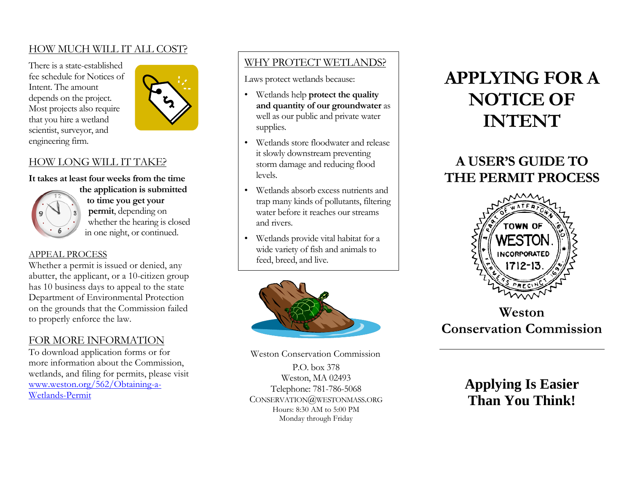### HOW MUCH WILL IT ALL COST?

There is a state-established fee schedule for Notices of Intent. The amount depends on the project. Most projects also require that you hire a wetland scientist, surveyor, and engineering firm.



### HOW LONG WILL IT TAKE?

**It takes at least four weeks from the time** 



**the application is submitted to time you get your permit**, depending on whether the hearing is closed in one night, or continued.

### APPEAL PROCESS

Whether a permit is issued or denied, any abutter, the applicant, or a 10-citizen group has 10 business days to appeal to the state Department of Environmental Protection on the grounds that the Commission failed to properly enforce the law.

### FOR MORE INFORMATION

To download application forms or for more information about the Commission, wetlands, and filing for permits, please visit [www.weston.org/562/Obtaining-a-](http://www.weston.org/562/Obtaining-a-Wetlands-Permit)[Wetlands-Permit](http://www.weston.org/562/Obtaining-a-Wetlands-Permit)

# WHY PROTECT WETLANDS?

Laws protect wetlands because:

- Wetlands help **protect the quality and quantity of our groundwater** as well as our public and private water supplies.
- Wetlands store floodwater and release it slowly downstream preventing storm damage and reducing flood levels.
- Wetlands absorb excess nutrients and trap many kinds of pollutants, filtering water before it reaches our streams and rivers.
- Wetlands provide vital habitat for a wide variety of fish and animals to feed, breed, and live.



Weston Conservation Commission P.O. box 378 Weston, MA 02493 Telephone: 781-786-5068 CONSERVATION@WESTONMASS.ORG Hours: 8:30 AM to 5:00 PM Monday through Friday

# **APPLYING FOR A NOTICE OF INTENT**

# **A USER'S GUIDE TO THE PERMIT PROCESS**



**Weston Conservation Commission**

**Applying Is Easier Than You Think!**